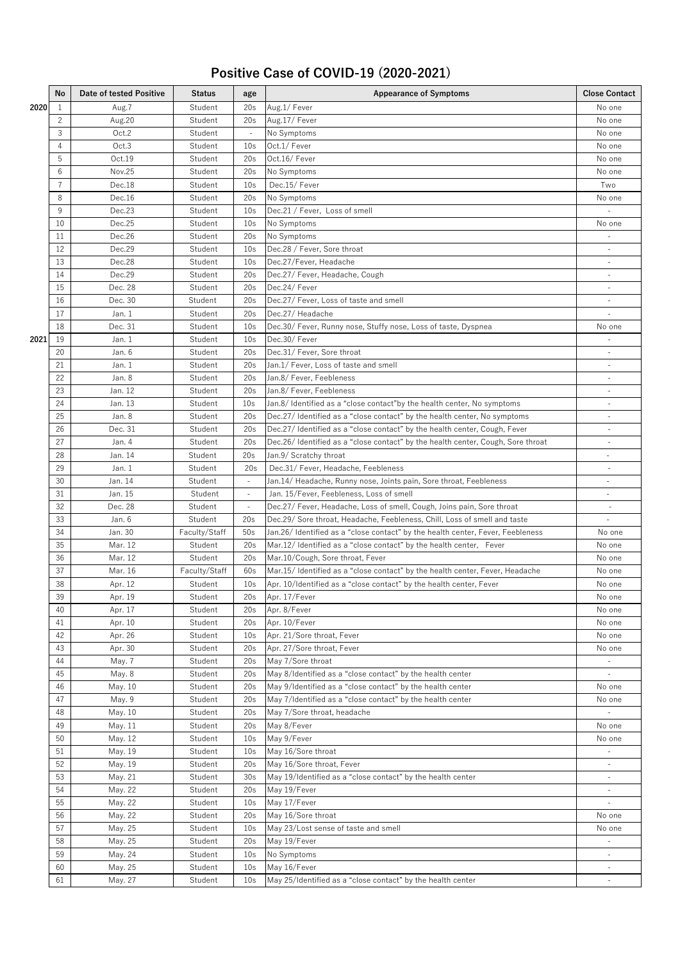## **Positive Case of COVID-19 (2020-2021)**

|      | No             | Date of tested Positive | Status        | age                      | <b>Appearance of Symptoms</b>                                                   | <b>Close Contact</b>     |
|------|----------------|-------------------------|---------------|--------------------------|---------------------------------------------------------------------------------|--------------------------|
| 2020 | 1              | Aug.7                   | Student       | 20s                      | Aug.1/Fever                                                                     | No one                   |
|      | $\overline{c}$ | Aug.20                  | Student       | 20s                      | Aug.17/Fever                                                                    | No one                   |
|      | 3              | Oct.2                   | Student       |                          | No Symptoms                                                                     | No one                   |
|      | 4              | Oct.3                   | Student       | 10 <sub>s</sub>          | Oct.1/ Fever                                                                    | No one                   |
|      | 5              | Oct.19                  | Student       | 20s                      | Oct.16/Fever                                                                    | No one                   |
|      | 6              | Nov.25                  | Student       | 20s                      | No Symptoms                                                                     | No one                   |
|      | 7              | Dec.18                  | Student       | 10 <sub>s</sub>          | Dec.15/Fever                                                                    | Two                      |
|      | 8              | Dec.16                  | Student       | 20s                      | No Symptoms                                                                     | No one                   |
|      | 9              | Dec.23                  | Student       | 10 <sub>s</sub>          | Dec.21 / Fever, Loss of smell                                                   |                          |
|      | 10             | Dec.25                  | Student       | 10 <sub>s</sub>          | No Symptoms                                                                     | No one                   |
|      | 11             | Dec.26                  | Student       | 20s                      | No Symptoms                                                                     |                          |
|      | 12             | Dec.29                  | Student       | 10 <sub>s</sub>          | Dec.28 / Fever, Sore throat                                                     |                          |
|      | 13             | Dec.28                  | Student       | 10 <sub>s</sub>          | Dec.27/Fever, Headache                                                          | $\omega$                 |
|      | 14             | Dec.29                  | Student       | 20s                      | Dec.27/ Fever, Headache, Cough                                                  | $\overline{\phantom{a}}$ |
|      | 15             | Dec. 28                 | Student       | 20s                      | Dec.24/ Fever                                                                   | $\overline{\phantom{a}}$ |
|      | 16             | Dec. 30                 | Student       | 20s                      | Dec.27/ Fever, Loss of taste and smell                                          | $\overline{\phantom{a}}$ |
|      | 17             | Jan. 1                  | Student       | 20s                      | Dec.27/ Headache                                                                |                          |
|      | 18             | Dec. 31                 | Student       | 10 <sub>s</sub>          | Dec.30/ Fever, Runny nose, Stuffy nose, Loss of taste, Dyspnea                  | No one                   |
| 2021 | 19             | Jan. 1                  | Student       | 10 <sub>s</sub>          | Dec.30/Fever                                                                    |                          |
|      | 20             | Jan. 6                  | Student       | 20s                      | Dec.31/ Fever, Sore throat                                                      |                          |
|      | 21             | Jan. 1                  | Student       | 20s                      | Jan.1/ Fever, Loss of taste and smell                                           |                          |
|      | 22             | Jan. 8                  | Student       | 20s                      | Jan.8/ Fever, Feebleness                                                        | $\sim$                   |
|      | 23             | Jan. 12                 | Student       | 20s                      | Jan.8/ Fever, Feebleness                                                        | ä,                       |
|      | 24             | Jan. 13                 | Student       | 10 <sub>s</sub>          | Jan.8/ Identified as a "close contact"by the health center, No symptoms         | $\overline{\phantom{a}}$ |
|      | 25             | Jan. 8                  | Student       | 20s                      | Dec.27/ Identified as a "close contact" by the health center, No symptoms       | $\sim$                   |
|      | 26             | Dec. 31                 | Student       | 20s                      | Dec.27/ Identified as a "close contact" by the health center, Cough, Fever      | $\sim$                   |
|      | 27             | Jan. 4                  | Student       | 20s                      | Dec.26/Identified as a "close contact" by the health center, Cough, Sore throat | ä,                       |
|      | 28             | Jan. 14                 | Student       | 20s                      | Jan.9/ Scratchy throat                                                          |                          |
|      | 29             | Jan. 1                  | Student       | 20s                      | Dec.31/ Fever, Headache, Feebleness                                             |                          |
|      | 30             | Jan. 14                 | Student       | $\omega$                 | Jan.14/ Headache, Runny nose, Joints pain, Sore throat, Feebleness              | $\omega$                 |
|      | 31             | Jan. 15                 | Student       | $\overline{\phantom{a}}$ | Jan. 15/Fever, Feebleness, Loss of smell                                        | $\overline{\phantom{a}}$ |
|      | 32             | Dec. 28                 | Student       | $\sim$                   | Dec.27/ Fever, Headache, Loss of smell, Cough, Joins pain, Sore throat          | $\overline{\phantom{a}}$ |
|      | 33             | Jan. 6                  | Student       | 20s                      | Dec.29/ Sore throat, Headache, Feebleness, Chill, Loss of smell and taste       | $\overline{\phantom{a}}$ |
|      | 34             | Jan. 30                 | Faculty/Staff | 50s                      | Jan.26/ Identified as a "close contact" by the health center, Fever, Feebleness | No one                   |
|      | 35             | Mar. 12                 | Student       | 20s                      | Mar.12/I dentified as a "close contact" by the health center, Fever             | No one                   |
|      | 36             | Mar. 12                 | Student       | 20s                      | Mar.10/Cough, Sore throat, Fever                                                | No one                   |
|      | 37             | Mar. 16                 | Faculty/Staff | 60s                      | Mar.15/Identified as a "close contact" by the health center, Fever, Headache    | No one                   |
|      | 38             | Apr. 12                 | Student       | 10 <sub>s</sub>          | Apr. 10/Identified as a "close contact" by the health center, Fever             | No one                   |
|      | 39             | Apr. 19                 | Student       | 20s                      | Apr. 17/Fever                                                                   | No one                   |
|      | 40             | Apr. 17                 | Student       | 20s                      | Apr. 8/Fever                                                                    | No one                   |
|      | 41             | Apr. 10                 | Student       | 20s                      | Apr. 10/Fever                                                                   | No one                   |
|      | 42             | Apr. 26                 | Student       | 10 <sub>s</sub>          | Apr. 21/Sore throat, Fever                                                      | No one                   |
|      | 43             | Apr. 30                 | Student       | 20s                      | Apr. 27/Sore throat, Fever                                                      | No one                   |
|      | 44             | May. 7                  | Student       | 20s                      | May 7/Sore throat                                                               |                          |
|      | 45             | May. 8                  | Student       | 20s                      | May 8/Identified as a "close contact" by the health center                      |                          |
|      | 46             | May. 10                 | Student       | 20s                      | May 9/Identified as a "close contact" by the health center                      | No one                   |
|      | 47             | May. 9                  | Student       | 20s                      | May 7/Identified as a "close contact" by the health center                      | No one                   |
|      | 48             | May. 10                 | Student       | 20s                      | May 7/Sore throat, headache                                                     |                          |
|      | 49             | May. 11                 | Student       | 20s                      | May 8/Fever                                                                     | No one                   |
|      | 50             | May. 12                 | Student       | 10 <sub>s</sub>          | May 9/Fever                                                                     | No one                   |
|      | 51             | May. 19                 | Student       | 10 <sub>s</sub>          | May 16/Sore throat                                                              |                          |
|      | 52             | May. 19                 | Student       | 20s                      | May 16/Sore throat, Fever                                                       |                          |
|      | 53             | May. 21                 | Student       | 30 <sub>s</sub>          | May 19/Identified as a "close contact" by the health center                     |                          |
|      | 54             | May. 22                 | Student       | 20s                      | May 19/Fever                                                                    |                          |
|      | 55             | May. 22                 | Student       | 10 <sub>s</sub>          | May 17/Fever                                                                    | $\equiv$                 |
|      | 56             | May. 22                 | Student       | 20s                      | May 16/Sore throat                                                              | No one                   |
|      | 57             | May. 25                 | Student       | 10 <sub>s</sub>          | May 23/Lost sense of taste and smell                                            | No one                   |
|      | 58             | May. 25                 | Student       | 20s                      | May 19/Fever                                                                    |                          |
|      | 59             | May. 24                 | Student       | 10 <sub>s</sub>          | No Symptoms                                                                     |                          |
|      | 60             | May. 25                 | Student       | 10 <sub>s</sub>          | May 16/Fever                                                                    |                          |
|      | 61             | May. 27                 | Student       | 10 <sub>s</sub>          | May 25/Identified as a "close contact" by the health center                     |                          |